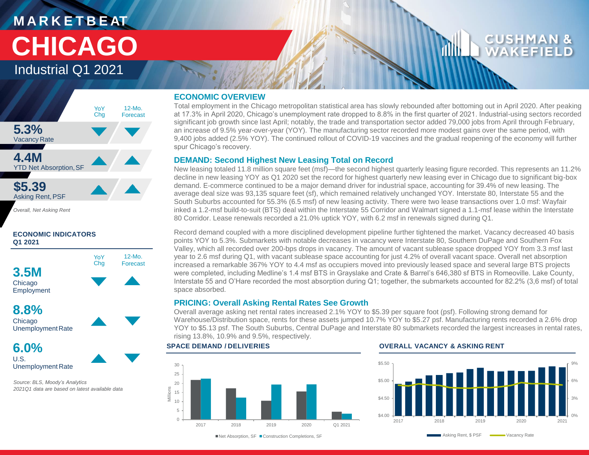## **M A R K E T B E AT CHICAGO**

Industrial Q1 2021



*Overall, Net Asking Rent*

#### **ECONOMIC INDICATORS Q1 2021**



**6.0%** U.S. Unemployment Rate

*Source: BLS, Moody's Analytics 2021Q1 data are based on latest available data* 

#### **ECONOMIC OVERVIEW**

Total employment in the Chicago metropolitan statistical area has slowly rebounded after bottoming out in April 2020. After peaking at 17.3% in April 2020, Chicago's unemployment rate dropped to 8.8% in the first quarter of 2021. Industrial-using sectors recorded significant job growth since last April; notably, the trade and transportation sector added 79,000 jobs from April through February, an increase of 9.5% year-over-year (YOY). The manufacturing sector recorded more modest gains over the same period, with 9,400 jobs added (2.5% YOY). The continued rollout of COVID-19 vaccines and the gradual reopening of the economy will further spur Chicago's recovery.

#### **DEMAND: Second Highest New Leasing Total on Record**

New leasing totaled 11.8 million square feet (msf)—the second highest quarterly leasing figure recorded. This represents an 11.2% decline in new leasing YOY as Q1 2020 set the record for highest quarterly new leasing ever in Chicago due to significant big-box demand. E-commerce continued to be a major demand driver for industrial space, accounting for 39.4% of new leasing. The average deal size was 93,135 square feet (sf), which remained relatively unchanged YOY. Interstate 80, Interstate 55 and the South Suburbs accounted for 55.3% (6.5 msf) of new leasing activity. There were two lease transactions over 1.0 msf: Wayfair inked a 1.2-msf build-to-suit (BTS) deal within the Interstate 55 Corridor and Walmart signed a 1.1-msf lease within the Interstate 80 Corridor. Lease renewals recorded a 21.0% uptick YOY, with 6.2 msf in renewals signed during Q1.

Record demand coupled with a more disciplined development pipeline further tightened the market. Vacancy decreased 40 basis points YOY to 5.3%. Submarkets with notable decreases in vacancy were Interstate 80, Southern DuPage and Southern Fox Valley, which all recorded over 200-bps drops in vacancy. The amount of vacant sublease space dropped YOY from 3.3 msf last year to 2.6 msf during Q1, with vacant sublease space accounting for just 4.2% of overall vacant space. Overall net absorption increased a remarkable 367% YOY to 4.4 msf as occupiers moved into previously leased space and several large BTS projects were completed, including Medline's 1.4 msf BTS in Grayslake and Crate & Barrel's 646,380 sf BTS in Romeoville. Lake County, Interstate 55 and O'Hare recorded the most absorption during Q1; together, the submarkets accounted for 82.2% (3,6 msf) of total space absorbed.

#### **PRICING: Overall Asking Rental Rates See Growth**

Overall average asking net rental rates increased 2.1% YOY to \$5.39 per square foot (psf). Following strong demand for Warehouse/Distribution space, rents for these assets jumped 10.7% YOY to \$5.27 psf. Manufacturing rents recorded a 2.6% drop YOY to \$5.13 psf. The South Suburbs, Central DuPage and Interstate 80 submarkets recorded the largest increases in rental rates, rising 13.8%, 10.9% and 9.5%, respectively.

#### $\Omega$ 5 10 15 20 25 30 2017 2018 2019 2020 Q1 2021 Millions

#### **SPACE DEMAND / DELIVERIES OVERALL VACANCY & ASKING RENT**



■Net Absorption, SF ■ Construction Completions, SF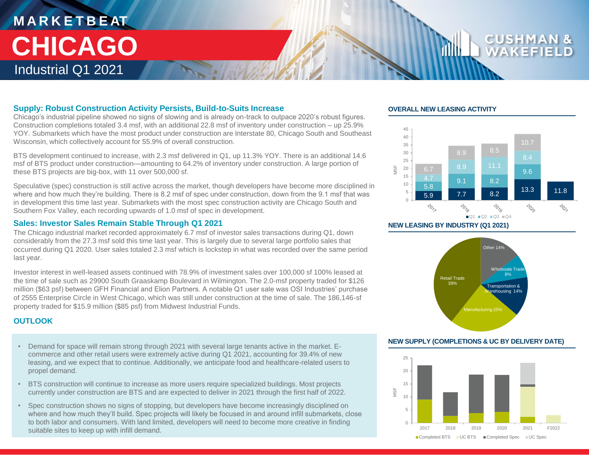### **M A R K E T B E AT** Industrial Q1 2021 **CHICAGO**

#### **Supply: Robust Construction Activity Persists, Build-to-Suits Increase**

Chicago's industrial pipeline showed no signs of slowing and is already on-track to outpace 2020's robust figures. Construction completions totaled 3.4 msf, with an additional 22.8 msf of inventory under construction – up 25.9% YOY. Submarkets which have the most product under construction are Interstate 80, Chicago South and Southeast Wisconsin, which collectively account for 55.9% of overall construction.

BTS development continued to increase, with 2.3 msf delivered in Q1, up 11.3% YOY. There is an additional 14.6 msf of BTS product under construction—amounting to 64.2% of inventory under construction. A large portion of these BTS projects are big-box, with 11 over 500,000 sf.

Speculative (spec) construction is still active across the market, though developers have become more disciplined in where and how much they're building. There is 8.2 msf of spec under construction, down from the 9.1 msf that was in development this time last year. Submarkets with the most spec construction activity are Chicago South and Southern Fox Valley, each recording upwards of 1.0 msf of spec in development.

#### **Sales: Investor Sales Remain Stable Through Q1 2021**

The Chicago industrial market recorded approximately 6.7 msf of investor sales transactions during Q1, down considerably from the 27.3 msf sold this time last year. This is largely due to several large portfolio sales that occurred during Q1 2020. User sales totaled 2.3 msf which is lockstep in what was recorded over the same period last year.

Investor interest in well-leased assets continued with 78.9% of investment sales over 100,000 sf 100% leased at the time of sale such as 29900 South Graaskamp Boulevard in Wilmington. The 2.0-msf property traded for \$126 million (\$63 psf) between GFH Financial and Elion Partners. A notable Q1 user sale was OSI Industries' purchase of 2555 Enterprise Circle in West Chicago, which was still under construction at the time of sale. The 186,146-sf property traded for \$15.9 million (\$85 psf) from Midwest Industrial Funds.

#### **OUTLOOK**

- Demand for space will remain strong through 2021 with several large tenants active in the market. Ecommerce and other retail users were extremely active during Q1 2021, accounting for 39.4% of new leasing, and we expect that to continue. Additionally, we anticipate food and healthcare-related users to propel demand.
- BTS construction will continue to increase as more users require specialized buildings. Most projects currently under construction are BTS and are expected to deliver in 2021 through the first half of 2022.
- Spec construction shows no signs of stopping, but developers have become increasingly disciplined on where and how much they'll build. Spec projects will likely be focused in and around infill submarkets, close to both labor and consumers. With land limited, developers will need to become more creative in finding suitable sites to keep up with infill demand.

#### **OVERALL NEW LEASING ACTIVITY**



**NEW LEASING BY INDUSTRY (Q1 2021)**



#### **NEW SUPPLY (COMPLETIONS & UC BY DELIVERY DATE)**

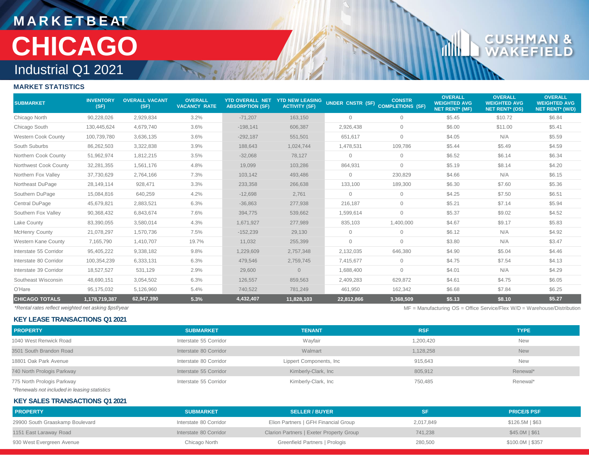### **M A R K E T B E AT** Industrial Q1 2021 **CHICAGO**

# CUSH

dlh

### **MARKET STATISTICS**

| <b>SUBMARKET</b>           | <b>INVENTORY</b><br>(SF) | <b>OVERALL VACANT</b><br>(SF) | <b>OVERALL</b><br><b>VACANCY RATE</b> | <b>YTD OVERALL NET</b><br><b>ABSORPTION (SF)</b> | <b>YTD NEW LEASING</b><br><b>ACTIVITY (SF)</b> | UNDER CNSTR (SF) | <b>CONSTR</b><br><b>COMPLETIONS (SF)</b> | <b>OVERALL</b><br><b>WEIGHTED AVG</b><br><b>NET RENT* (MF)</b> | <b>OVERALL</b><br><b>WEIGHTED AVG</b><br><b>NET RENT* (OS)</b> | <b>OVERALL</b><br><b>WEIGHTED AVG</b><br><b>NET RENT* (W/D)</b> |
|----------------------------|--------------------------|-------------------------------|---------------------------------------|--------------------------------------------------|------------------------------------------------|------------------|------------------------------------------|----------------------------------------------------------------|----------------------------------------------------------------|-----------------------------------------------------------------|
| Chicago North              | 90.228.026               | 2,929,834                     | 3.2%                                  | $-71,207$                                        | 163,150                                        | $\mathbf{0}$     | $\mathbf{0}$                             | \$5.45                                                         | \$10.72                                                        | \$6.84                                                          |
| Chicago South              | 130,445,624              | 4,679,740                     | 3.6%                                  | $-198,141$                                       | 606,387                                        | 2,926,438        | $\mathbf{0}$                             | \$6.00                                                         | \$11.00                                                        | \$5.41                                                          |
| <b>Western Cook County</b> | 100,739,780              | 3,636,135                     | 3.6%                                  | $-292,187$                                       | 551,501                                        | 651,617          | $\mathbf{0}$                             | \$4.05                                                         | N/A                                                            | \$5.59                                                          |
| South Suburbs              | 86,262,503               | 3,322,838                     | 3.9%                                  | 188,643                                          | 1,024,744                                      | 1,478,531        | 109,786                                  | \$5.44                                                         | \$5.49                                                         | \$4.59                                                          |
| Northern Cook County       | 51,962,974               | 1,812,215                     | 3.5%                                  | $-32,068$                                        | 78,127                                         | $\mathbf{0}$     | $\mathbf{0}$                             | \$6.52                                                         | \$6.14                                                         | \$6.34                                                          |
| Northwest Cook County      | 32,281,355               | 1,561,176                     | 4.8%                                  | 19,099                                           | 103,286                                        | 864,931          | $\mathbf{0}$                             | \$5.19                                                         | \$8.14                                                         | \$4.20                                                          |
| Northern Fox Valley        | 37,730,629               | 2,764,166                     | 7.3%                                  | 103,142                                          | 493,486                                        | $\mathbf{0}$     | 230,829                                  | \$4.66                                                         | N/A                                                            | \$6.15                                                          |
| Northeast DuPage           | 28,149,114               | 928,471                       | 3.3%                                  | 233,358                                          | 266,638                                        | 133,100          | 189,300                                  | \$6.30                                                         | \$7.60                                                         | \$5.36                                                          |
| Southern DuPage            | 15,084,816               | 640,259                       | 4.2%                                  | $-12,698$                                        | 2,761                                          | $\mathbf{0}$     | $\circ$                                  | \$4.25                                                         | \$7.50                                                         | \$6.51                                                          |
| Central DuPage             | 45,679,821               | 2,883,521                     | 6.3%                                  | $-36,863$                                        | 277,938                                        | 216,187          | $\mathbf{0}$                             | \$5.21                                                         | \$7.14                                                         | \$5.94                                                          |
| Southern Fox Valley        | 90,368,432               | 6,843,674                     | 7.6%                                  | 394,775                                          | 539,662                                        | 1,599,614        | $\circ$                                  | \$5.37                                                         | \$9.02                                                         | \$4.52                                                          |
| Lake County                | 83,390,055               | 3,580,014                     | 4.3%                                  | 1,671,927                                        | 277,989                                        | 835,103          | 1,400,000                                | \$4.67                                                         | \$9.17                                                         | \$5.83                                                          |
| <b>McHenry County</b>      | 21,078,297               | 1,570,736                     | 7.5%                                  | $-152,239$                                       | 29,130                                         | $\mathbf{0}$     | $\mathbf{0}$                             | \$6.12                                                         | N/A                                                            | \$4.92                                                          |
| Western Kane County        | 7,165,790                | 1,410,707                     | 19.7%                                 | 11.032                                           | 255,399                                        | $\mathbf{0}$     | $\mathbf{0}$                             | \$3.80                                                         | N/A                                                            | \$3.47                                                          |
| Interstate 55 Corridor     | 95,405,222               | 9,338,182                     | 9.8%                                  | 1,229,609                                        | 2,757,348                                      | 2,132,035        | 646,380                                  | \$4.90                                                         | \$5.04                                                         | \$4.46                                                          |
| Interstate 80 Corridor     | 100,354,239              | 6,333,131                     | 6.3%                                  | 479,546                                          | 2,759,745                                      | 7,415,677        | $\mathbf{0}$                             | \$4.75                                                         | \$7.54                                                         | \$4.13                                                          |
| Interstate 39 Corridor     | 18,527,527               | 531,129                       | 2.9%                                  | 29,600                                           | $\overline{0}$                                 | 1,688,400        | $\circ$                                  | \$4.01                                                         | N/A                                                            | \$4.29                                                          |
| Southeast Wisconsin        | 48,690,151               | 3,054,502                     | 6.3%                                  | 126,557                                          | 859,563                                        | 2,409,283        | 629,872                                  | \$4.61                                                         | \$4.75                                                         | \$6.05                                                          |
| O'Hare                     | 95,175,032               | 5,126,960                     | 5.4%                                  | 740,522                                          | 781,249                                        | 461,950          | 162,342                                  | \$6.68                                                         | \$7.84                                                         | \$6.25                                                          |
| <b>CHICAGO TOTALS</b>      | 1,178,719,387            | 62,947,390                    | 5.3%                                  | 4,432,407                                        | 11,828,103                                     | 22.812.866       | 3,368,509                                | \$5.13                                                         | \$8.10                                                         | \$5.27                                                          |

**KEY LEASE TRANSACTIONS Q1 2021**

*\*Rental rates reflect weighted net asking \$psf/year* MF = Manufacturing OS = Office Service/Flex W/D = Warehouse/Distribution

| <b>PROPERTY</b>                              | <b>SUBMARKET</b>       | <b>TENANT</b>           | <b>RSF</b> | <b>TYPE</b>        |
|----------------------------------------------|------------------------|-------------------------|------------|--------------------|
| 1040 West Renwick Road                       | Interstate 55 Corridor | Wayfair                 | 1,200,420  | <b>New</b>         |
| 3501 South Brandon Road                      | Interstate 80 Corridor | Walmart                 | 1,128,258  | <b>New</b>         |
| 18801 Oak Park Avenue                        | Interstate 80 Corridor | Lippert Components, Inc | 915,643    | <b>New</b>         |
| 740 North Prologis Parkway                   | Interstate 55 Corridor | Kimberly-Clark, Inc     | 805,912    | Renewal*           |
| 775 North Prologis Parkway                   | Interstate 55 Corridor | Kimberly-Clark, Inc     | 750,485    | Renewal*           |
| *Renewals not included in leasing statistics |                        |                         |            |                    |
| <b>KEY SALES TRANSACTIONS Q1 2021</b>        |                        |                         |            |                    |
| <b>PROPERTY</b>                              | <b>SURMARKET</b>       | <b>SELLER / BUYER</b>   | <b>SF</b>  | <b>PRICE/S PSE</b> |

| <b>PROPERTY</b>                 | <b>SUBMARKET</b>       | <b>SELLER / BUYER</b>                    | SF        | <b>PRICE/S PSF</b> |
|---------------------------------|------------------------|------------------------------------------|-----------|--------------------|
| 29900 South Graaskamp Boulevard | Interstate 80 Corridor | Elion Partners   GFH Financial Group     | 2,017,849 | \$126.5M \$63      |
| 1151 East Laraway Road          | Interstate 80 Corridor | Clarion Partners   Exeter Property Group | 741.238   | $$45.0M$$ $$61$    |
| 930 West Evergreen Avenue       | Chicago North          | Greenfield Partners   Prologis           | 280,500   | $$100.0M$$ $$357$  |